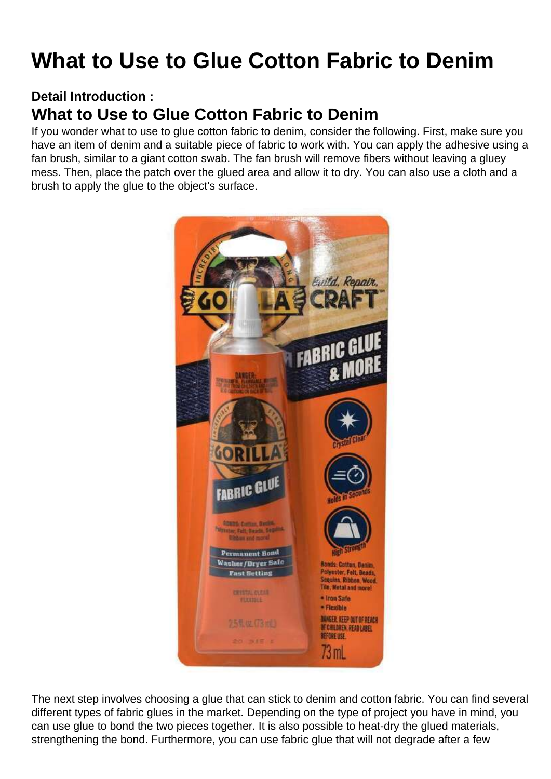## What to Use to Glue Cotton Fabric to Denim

Detail Introduction :

## What to Use to Glue Cotton Fabric to Denim

If you wonder what to use to glue cotton fabric to denim, consider the following. First, make sure you have an item of denim and a suitable piece of fabric to work with. You can apply the adhesive using a fan brush, similar to a giant cotton swab. The fan brush will remove fibers without leaving a gluey mess. Then, place the patch over the glued area and allow it to dry. You can also use a cloth and a brush to apply the glue to the object's surface.

The next step involves choosing a glue that can stick to denim and cotton fabric. You can find several different types of fabric glues in the market. Depending on the type of project you have in mind, you can use glue to bond the two pieces together. It is also possible to heat-dry the glued materials, strengthening the bond. Furthermore, you can use fabric glue that will not degrade after a few